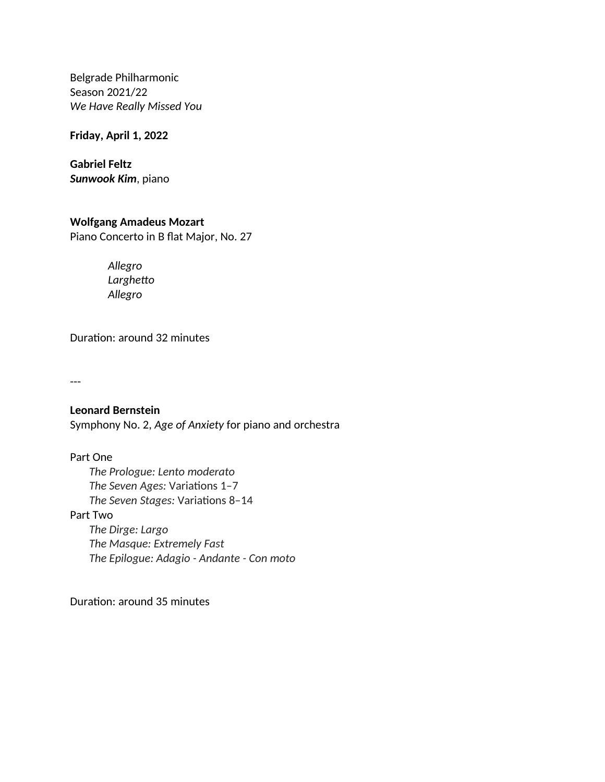Belgrade Philharmonic Season 2021/22 *We Have Really Missed You* 

**Friday, April 1, 2022**

**Gabriel Feltz** *Sunwook Kim*, piano

## **Wolfgang Аmadeus Mozart**

Piano Concerto in B flat Major, No. 27

*Allegro Larghetto Allegro*

Duration: around 32 minutes

---

**Leonard Bernstein** Symphony No. 2, *Age of Anxiety* for piano and orchestra

Part One *The Prologue: Lento moderato The Seven Ages:* Variations 1–7 *The Seven Stages:* Variations 8–14 Part Two *The Dirge: Largo The Masque: Extremely Fast The Epilogue: Adagio - Andante - Con moto*

Duration: around 35 minutes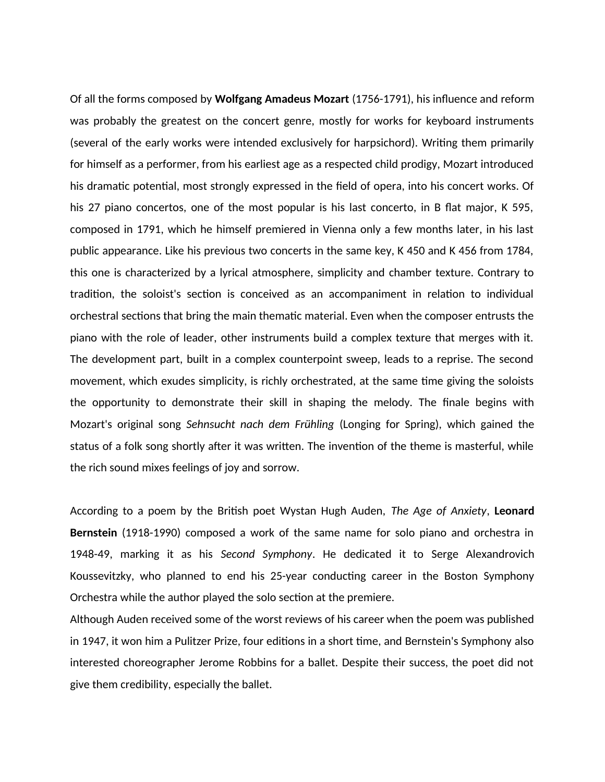Of all the forms composed by **Wolfgang Amadeus Mozart** (1756-1791), his influence and reform was probably the greatest on the concert genre, mostly for works for keyboard instruments (several of the early works were intended exclusively for harpsichord). Writing them primarily for himself as a performer, from his earliest age as a respected child prodigy, Mozart introduced his dramatic potential, most strongly expressed in the field of opera, into his concert works. Of his 27 piano concertos, one of the most popular is his last concerto, in B flat major, K 595, composed in 1791, which he himself premiered in Vienna only a few months later, in his last public appearance. Like his previous two concerts in the same key, K 450 and K 456 from 1784, this one is characterized by a lyrical atmosphere, simplicity and chamber texture. Contrary to tradition, the soloist's section is conceived as an accompaniment in relation to individual orchestral sections that bring the main thematic material. Even when the composer entrusts the piano with the role of leader, other instruments build a complex texture that merges with it. The development part, built in a complex counterpoint sweep, leads to a reprise. The second movement, which exudes simplicity, is richly orchestrated, at the same time giving the soloists the opportunity to demonstrate their skill in shaping the melody. The finale begins with Mozart's original song *Sehnsucht nach dem Frühling* (Longing for Spring), which gained the status of a folk song shortly after it was written. The invention of the theme is masterful, while the rich sound mixes feelings of joy and sorrow.

According to a poem by the British poet Wystan Hugh Auden, *The Age of Anxiety*, **Leonard Bernstein** (1918-1990) composed a work of the same name for solo piano and orchestra in 1948-49, marking it as his *Second Symphony*. He dedicated it to Serge Alexandrovich Koussevitzky, who planned to end his 25-year conducting career in the Boston Symphony Orchestra while the author played the solo section at the premiere.

Although Auden received some of the worst reviews of his career when the poem was published in 1947, it won him a Pulitzer Prize, four editions in a short time, and Bernstein's Symphony also interested choreographer Jerome Robbins for a ballet. Despite their success, the poet did not give them credibility, especially the ballet.